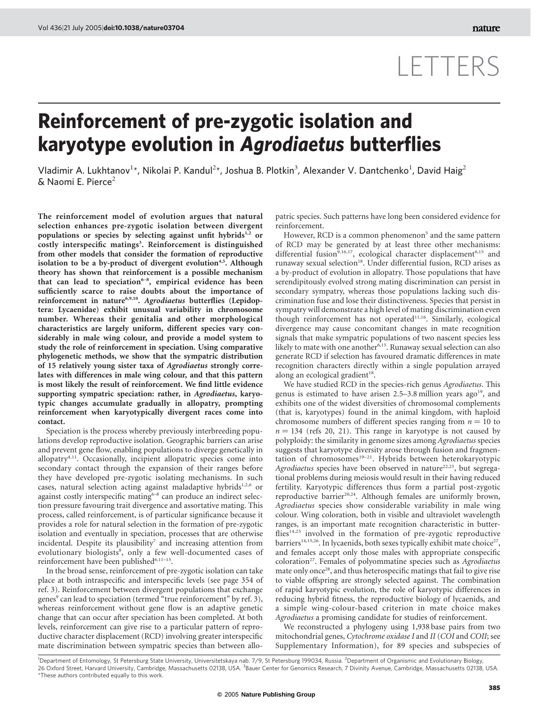## LETTERS

## Reinforcement of pre-zygotic isolation and karyotype evolution in Agrodiaetus butterflies

Vladimir A. Lukhtanov<sup>1\*</sup>, Nikolai P. Kandul<sup>2\*</sup>, Joshua B. Plotkin<sup>3</sup>, Alexander V. Dantchenko<sup>1</sup>, David Haig<sup>2</sup>  $\&$  Naomi E. Pierce<sup>2</sup>

The reinforcement model of evolution argues that natural selection enhances pre-zygotic isolation between divergent populations or species by selecting against unfit hybrids<sup>1,2</sup> or costly interspecific matings<sup>3</sup>. Reinforcement is distinguished from other models that consider the formation of reproductive isolation to be a by-product of divergent evolution<sup>4,5</sup>. Although theory has shown that reinforcement is a possible mechanism that can lead to speciation<sup>6-8</sup>, empirical evidence has been sufficiently scarce to raise doubts about the importance of reinforcement in nature<sup>6,9,10</sup>. Agrodiaetus butterflies (Lepidoptera: Lycaenidae) exhibit unusual variability in chromosome number. Whereas their genitalia and other morphological characteristics are largely uniform, different species vary considerably in male wing colour, and provide a model system to study the role of reinforcement in speciation. Using comparative phylogenetic methods, we show that the sympatric distribution of 15 relatively young sister taxa of Agrodiaetus strongly correlates with differences in male wing colour, and that this pattern is most likely the result of reinforcement. We find little evidence supporting sympatric speciation: rather, in Agrodiaetus, karyotypic changes accumulate gradually in allopatry, prompting reinforcement when karyotypically divergent races come into contact.

Speciation is the process whereby previously interbreeding populations develop reproductive isolation. Geographic barriers can arise and prevent gene flow, enabling populations to diverge genetically in allopatry<sup>4,11</sup>. Occasionally, incipient allopatric species come into secondary contact through the expansion of their ranges before they have developed pre-zygotic isolating mechanisms. In such cases, natural selection acting against maladaptive hybrids $1,2,6$  or against costly interspecific mating $6-8$  can produce an indirect selection pressure favouring trait divergence and assortative mating. This process, called reinforcement, is of particular significance because it provides a role for natural selection in the formation of pre-zygotic isolation and eventually in speciation, processes that are otherwise incidental. Despite its plausibility<sup>7</sup> and increasing attention from evolutionary biologists<sup>8</sup>, only a few well-documented cases of reinforcement have been published<sup>6,11-15</sup>.

In the broad sense, reinforcement of pre-zygotic isolation can take place at both intraspecific and interspecific levels (see page 354 of ref. 3). Reinforcement between divergent populations that exchange genes<sup>9</sup> can lead to speciation (termed "true reinforcement" by ref. 3), whereas reinforcement without gene flow is an adaptive genetic change that can occur after speciation has been completed. At both levels, reinforcement can give rise to a particular pattern of reproductive character displacement (RCD) involving greater interspecific mate discrimination between sympatric species than between allopatric species. Such patterns have long been considered evidence for reinforcement.

However, RCD is a common phenomenon<sup>5</sup> and the same pattern of RCD may be generated by at least three other mechanisms: differential fusion<sup>9,16,17</sup>, ecological character displacement<sup>6,15</sup> and runaway sexual selection<sup>18</sup>. Under differential fusion, RCD arises as a by-product of evolution in allopatry. Those populations that have serendipitously evolved strong mating discrimination can persist in secondary sympatry, whereas those populations lacking such discrimination fuse and lose their distinctiveness. Species that persist in sympatry will demonstrate a high level of mating discrimination even though reinforcement has not operated<sup>11,16</sup>. Similarly, ecological divergence may cause concomitant changes in mate recognition signals that make sympatric populations of two nascent species less likely to mate with one another<sup>6,15</sup>. Runaway sexual selection can also generate RCD if selection has favoured dramatic differences in mate recognition characters directly within a single population arrayed along an ecological gradient<sup>18</sup>.

We have studied RCD in the species-rich genus Agrodiaetus. This genus is estimated to have arisen  $2.5-3.8$  million years ago<sup>19</sup>, and exhibits one of the widest diversities of chromosomal complements (that is, karyotypes) found in the animal kingdom, with haploid chromosome numbers of different species ranging from  $n = 10$  to  $n = 134$  (refs 20, 21). This range in karyotype is not caused by polyploidy: the similarity in genome sizes among Agrodiaetus species suggests that karyotype diversity arose through fusion and fragmentation of chromosomes<sup>19–21</sup>. Hybrids between heterokaryotypic Agrodiaetus species have been observed in nature<sup>22,23</sup>, but segregational problems during meiosis would result in their having reduced fertility. Karyotypic differences thus form a partial post-zygotic reproductive barrier<sup>20,24</sup>. Although females are uniformly brown, Agrodiaetus species show considerable variability in male wing colour. Wing coloration, both in visible and ultraviolet wavelength ranges, is an important mate recognition characteristic in butterflies<sup>14,25</sup> involved in the formation of pre-zygotic reproductive barriers<sup>14,15,26</sup>. In lycaenids, both sexes typically exhibit mate choice<sup>27</sup>, and females accept only those males with appropriate conspecific coloration<sup>27</sup>. Females of polyommatine species such as Agrodiaetus mate only once<sup>28</sup>, and thus heterospecific matings that fail to give rise to viable offspring are strongly selected against. The combination of rapid karyotypic evolution, the role of karyotypic differences in reducing hybrid fitness, the reproductive biology of lycaenids, and a simple wing-colour-based criterion in mate choice makes Agrodiaetus a promising candidate for studies of reinforcement.

We reconstructed a phylogeny using 1,938 base pairs from two mitochondrial genes, Cytochrome oxidase I and II (COI and COII; see Supplementary Information), for 89 species and subspecies of

<sup>1</sup>Department of Entomology, St Petersburg State University, Universitetskaya nab. 7/9, St Petersburg 199034, Russia. <sup>2</sup>Department of Organismic and Evolutionary Biology, 26 Oxford Street, Harvard University, Cambridge, Massachusetts 02138, USA. <sup>3</sup>Bauer Center for Genomics Research, 7 Divinity Avenue, Cambridge, Massachusetts 02138, USA. \*These authors contributed equally to this work.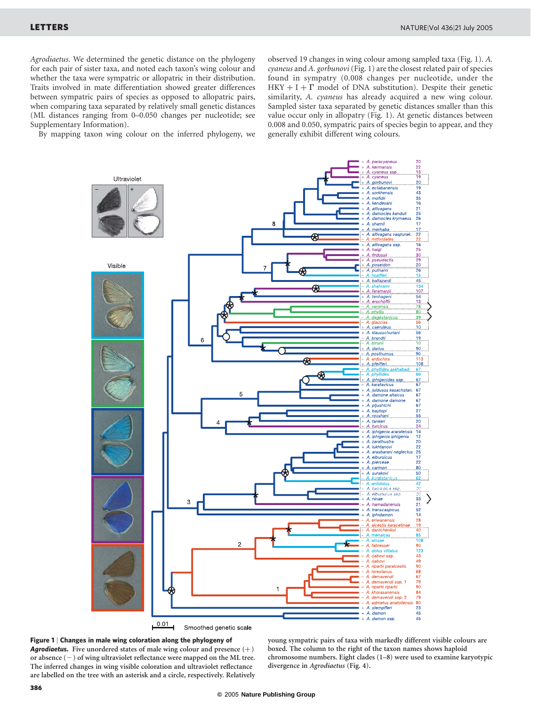Agrodiaetus. We determined the genetic distance on the phylogeny for each pair of sister taxa, and noted each taxon's wing colour and whether the taxa were sympatric or allopatric in their distribution. Traits involved in mate differentiation showed greater differences between sympatric pairs of species as opposed to allopatric pairs, when comparing taxa separated by relatively small genetic distances (ML distances ranging from 0–0.050 changes per nucleotide; see Supplementary Information).

By mapping taxon wing colour on the inferred phylogeny, we

observed 19 changes in wing colour among sampled taxa (Fig. 1). A. cyaneus and A. gorbunovi (Fig. 1) are the closest related pair of species found in sympatry (0.008 changes per nucleotide, under the HKY + I +  $\Gamma$  model of DNA substitution). Despite their genetic similarity, A. cyaneus has already acquired a new wing colour. Sampled sister taxa separated by genetic distances smaller than this value occur only in allopatry (Fig. 1). At genetic distances between 0.008 and 0.050, sympatric pairs of species begin to appear, and they generally exhibit different wing colours.





young sympatric pairs of taxa with markedly different visible colours are boxed. The column to the right of the taxon names shows haploid chromosome numbers. Eight clades (1–8) were used to examine karyotypic divergence in Agrodiaetus (Fig. 4).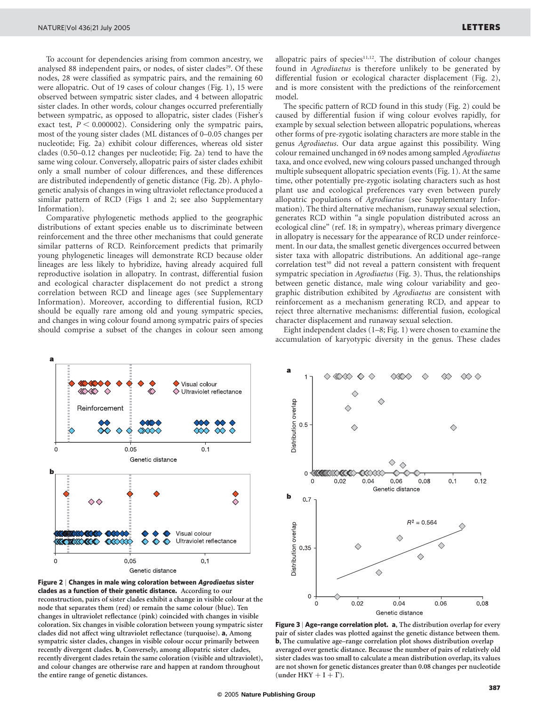To account for dependencies arising from common ancestry, we analysed 88 independent pairs, or nodes, of sister clades<sup>29</sup>. Of these nodes, 28 were classified as sympatric pairs, and the remaining 60 were allopatric. Out of 19 cases of colour changes (Fig. 1), 15 were observed between sympatric sister clades, and 4 between allopatric sister clades. In other words, colour changes occurred preferentially between sympatric, as opposed to allopatric, sister clades (Fisher's exact test,  $P < 0.000002$ ). Considering only the sympatric pairs, most of the young sister clades (ML distances of 0–0.05 changes per nucleotide; Fig. 2a) exhibit colour differences, whereas old sister clades (0.50–0.12 changes per nucleotide; Fig. 2a) tend to have the same wing colour. Conversely, allopatric pairs of sister clades exhibit only a small number of colour differences, and these differences are distributed independently of genetic distance (Fig. 2b). A phylogenetic analysis of changes in wing ultraviolet reflectance produced a similar pattern of RCD (Figs 1 and 2; see also Supplementary Information).

Comparative phylogenetic methods applied to the geographic distributions of extant species enable us to discriminate between reinforcement and the three other mechanisms that could generate similar patterns of RCD. Reinforcement predicts that primarily young phylogenetic lineages will demonstrate RCD because older lineages are less likely to hybridize, having already acquired full reproductive isolation in allopatry. In contrast, differential fusion and ecological character displacement do not predict a strong correlation between RCD and lineage ages (see Supplementary Information). Moreover, according to differential fusion, RCD should be equally rare among old and young sympatric species, and changes in wing colour found among sympatric pairs of species should comprise a subset of the changes in colour seen among allopatric pairs of species $11,12$ . The distribution of colour changes found in Agrodiaetus is therefore unlikely to be generated by differential fusion or ecological character displacement (Fig. 2), and is more consistent with the predictions of the reinforcement model.

The specific pattern of RCD found in this study (Fig. 2) could be caused by differential fusion if wing colour evolves rapidly, for example by sexual selection between allopatric populations, whereas other forms of pre-zygotic isolating characters are more stable in the genus Agrodiaetus. Our data argue against this possibility. Wing colour remained unchanged in 69 nodes among sampled Agrodiaetus taxa, and once evolved, new wing colours passed unchanged through multiple subsequent allopatric speciation events (Fig. 1). At the same time, other potentially pre-zygotic isolating characters such as host plant use and ecological preferences vary even between purely allopatric populations of Agrodiaetus (see Supplementary Information). The third alternative mechanism, runaway sexual selection, generates RCD within "a single population distributed across an ecological cline" (ref. 18; in sympatry), whereas primary divergence in allopatry is necessary for the appearance of RCD under reinforcement. In our data, the smallest genetic divergences occurred between sister taxa with allopatric distributions. An additional age–range correlation test<sup>30</sup> did not reveal a pattern consistent with frequent sympatric speciation in Agrodiaetus (Fig. 3). Thus, the relationships between genetic distance, male wing colour variability and geographic distribution exhibited by Agrodiaetus are consistent with reinforcement as a mechanism generating RCD, and appear to reject three alternative mechanisms: differential fusion, ecological character displacement and runaway sexual selection.

Eight independent clades (1–8; Fig. 1) were chosen to examine the accumulation of karyotypic diversity in the genus. These clades



Figure 2 | Changes in male wing coloration between Agrodiaetus sister clades as a function of their genetic distance. According to our reconstruction, pairs of sister clades exhibit a change in visible colour at the node that separates them (red) or remain the same colour (blue). Ten changes in ultraviolet reflectance (pink) coincided with changes in visible coloration. Six changes in visible coloration between young sympatric sister clades did not affect wing ultraviolet reflectance (turquoise). a, Among sympatric sister clades, changes in visible colour occur primarily between recently divergent clades. b, Conversely, among allopatric sister clades, recently divergent clades retain the same coloration (visible and ultraviolet), and colour changes are otherwise rare and happen at random throughout the entire range of genetic distances.



Figure 3 | Age-range correlation plot. a, The distribution overlap for every pair of sister clades was plotted against the genetic distance between them. b, The cumulative age–range correlation plot shows distribution overlap averaged over genetic distance. Because the number of pairs of relatively old sister clades was too small to calculate a mean distribution overlap, its values are not shown for genetic distances greater than 0.08 changes per nucleotide (under HKY  $+$  I  $+$   $\Gamma$ ).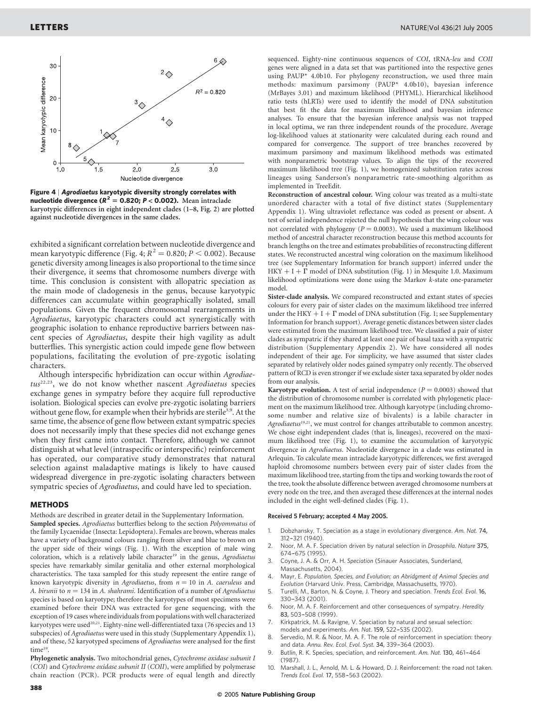

Figure 4 | Agrodiaetus karyotypic diversity strongly correlates with nucleotide divergence  $(R^2 = 0.820; P < 0.002)$ . Mean intraclade karyotypic differences in eight independent clades (1–8, Fig. 2) are plotted against nucleotide divergences in the same clades.

exhibited a significant correlation between nucleotide divergence and mean karyotypic difference (Fig. 4;  $R^2 = 0.820$ ;  $P < 0.002$ ). Because genetic diversity among lineages is also proportional to the time since their divergence, it seems that chromosome numbers diverge with time. This conclusion is consistent with allopatric speciation as the main mode of cladogenesis in the genus, because karyotypic differences can accumulate within geographically isolated, small populations. Given the frequent chromosomal rearrangements in Agrodiaetus, karyotypic characters could act synergistically with geographic isolation to enhance reproductive barriers between nascent species of Agrodiaetus, despite their high vagility as adult butterflies. This synergistic action could impede gene flow between populations, facilitating the evolution of pre-zygotic isolating characters.

Although interspecific hybridization can occur within Agrodiae $tus^{22,23}$ , we do not know whether nascent Agrodiaetus species exchange genes in sympatry before they acquire full reproductive isolation. Biological species can evolve pre-zygotic isolating barriers without gene flow, for example when their hybrids are sterile<sup>3,9</sup>. At the same time, the absence of gene flow between extant sympatric species does not necessarily imply that these species did not exchange genes when they first came into contact. Therefore, although we cannot distinguish at what level (intraspecific or interspecific) reinforcement has operated, our comparative study demonstrates that natural selection against maladaptive matings is likely to have caused widespread divergence in pre-zygotic isolating characters between sympatric species of Agrodiaetus, and could have led to speciation.

## **METHODS**

Methods are described in greater detail in the Supplementary Information. Sampled species. Agrodiaetus butterflies belong to the section Polyommatus of the family Lycaenidae (Insecta: Lepidoptera). Females are brown, whereas males have a variety of background colours ranging from silver and blue to brown on the upper side of their wings (Fig. 1). With the exception of male wing coloration, which is a relatively labile character<sup>19</sup> in the genus, Agrodiaetus species have remarkably similar genitalia and other external morphological characteristics. The taxa sampled for this study represent the entire range of known karyotypic diversity in Agrodiaetus, from  $n = 10$  in A. caeruleus and A. birunii to  $n = 134$  in A. shahrami. Identification of a number of Agrodiaetus species is based on karyotype; therefore the karyotypes of most specimens were examined before their DNA was extracted for gene sequencing, with the exception of 19 cases where individuals from populations with well characterized karyotypes were used<sup>20,21</sup>. Eighty-nine well-differentiated taxa (76 species and 13 subspecies) of Agrodiaetus were used in this study (Supplementary Appendix 1), and of these, 52 karyotyped specimens of Agrodiaetus were analysed for the first time<sup>19</sup>.

Phylogenetic analysis. Two mitochondrial genes, Cytochrome oxidase subunit I (COI) and Cytochrome oxidase subunit II (COII), were amplified by polymerase chain reaction (PCR). PCR products were of equal length and directly sequenced. Eighty-nine continuous sequences of COI, tRNA-leu and COII genes were aligned in a data set that was partitioned into the respective genes using PAUP\* 4.0b10. For phylogeny reconstruction, we used three main methods: maximum parsimony (PAUP\* 4.0b10), bayesian inference (MrBayes 3.01) and maximum likelihood (PHYML). Hierarchical likelihood ratio tests (hLRTs) were used to identify the model of DNA substitution that best fit the data for maximum likelihood and bayesian inference analyses. To ensure that the bayesian inference analysis was not trapped in local optima, we ran three independent rounds of the procedure. Average log-likelihood values at stationarity were calculated during each round and compared for convergence. The support of tree branches recovered by maximum parsimony and maximum likelihood methods was estimated with nonparametric bootstrap values. To align the tips of the recovered maximum likelihood tree (Fig. 1), we homogenized substitution rates across lineages using Sanderson's nonparametric rate-smoothing algorithm as implemented in TreeEdit.

Reconstruction of ancestral colour. Wing colour was treated as a multi-state unordered character with a total of five distinct states (Supplementary Appendix 1). Wing ultraviolet reflectance was coded as present or absent. A test of serial independence rejected the null hypothesis that the wing colour was not correlated with phylogeny ( $P = 0.0003$ ). We used a maximum likelihood method of ancestral character reconstruction because this method accounts for branch lengths on the tree and estimates probabilities of reconstructing different states. We reconstructed ancestral wing coloration on the maximum likelihood tree (see Supplementary Information for branch support) inferred under the HKY + I +  $\Gamma$  model of DNA substitution (Fig. 1) in Mesquite 1.0. Maximum likelihood optimizations were done using the Markov k-state one-parameter model.

Sister-clade analysis. We compared reconstructed and extant states of species colours for every pair of sister clades on the maximum likelihood tree inferred under the HKY  $+$  I  $+$   $\Gamma$  model of DNA substitution (Fig. 1; see Supplementary Information for branch support). Average genetic distances between sister clades were estimated from the maximum likelihood tree. We classified a pair of sister clades as sympatric if they shared at least one pair of basal taxa with a sympatric distribution (Supplementary Appendix 2). We have considered all nodes independent of their age. For simplicity, we have assumed that sister clades separated by relatively older nodes gained sympatry only recently. The observed pattern of RCD is even stronger if we exclude sister taxa separated by older nodes from our analysis.

Karyotype evolution. A test of serial independence ( $P = 0.0003$ ) showed that the distribution of chromosome number is correlated with phylogenetic placement on the maximum likelihood tree. Although karyotype (including chromosome number and relative size of bivalents) is a labile character in Agrodiaetus<sup>19,21</sup>, we must control for changes attributable to common ancestry. We chose eight independent clades (that is, lineages), recovered on the maximum likelihood tree (Fig. 1), to examine the accumulation of karyotypic divergence in Agrodiaetus. Nucleotide divergence in a clade was estimated in Arlequin. To calculate mean intraclade karyotypic differences, we first averaged haploid chromosome numbers between every pair of sister clades from the maximum likelihood tree, starting from the tips and working towards the root of the tree, took the absolute difference between averaged chromosome numbers at every node on the tree, and then averaged these differences at the internal nodes included in the eight well-defined clades (Fig. 1).

## Received 5 February; accepted 4 May 2005.

- 1. Dobzhansky, T. Speciation as a stage in evolutionary divergence. Am. Nat. 74, 312–-321 (1940).
- 2. Noor, M. A. F. Speciation driven by natural selection in Drosophila. Nature 375,  $674 - 675$  (1995).
- 3. Coyne, J. A. & Orr, A. H. Speciation (Sinauer Associates, Sunderland, Massachusetts, 2004).
- 4. Mayr, E. Population, Species, and Evolution; an Abridgment of Animal Species and Evolution (Harvard Univ. Press, Cambridge, Massachusetts, 1970).
- Turelli, M., Barton, N. & Coyne, J. Theory and speciation. Trends Ecol. Evol. 16, 330–-343 (2001).
- 6. Noor, M. A. F. Reinforcement and other consequences of sympatry. Heredity 83, 503-508 (1999).
- 7. Kirkpatrick, M. & Ravigne, V. Speciation by natural and sexual selection: models and experiments. Am. Nat. 159, S22-S35 (2002).
- Servedio, M. R. & Noor, M. A. F. The role of reinforcement in speciation: theory and data. Annu. Rev. Ecol. Evol. Syst. 34, 339-364 (2003).
- 9. Butlin, R. K. Species, speciation, and reinforcement. Am. Nat. 130, 461-464 (1987).
- 10. Marshall, J. L., Arnold, M. L. & Howard, D. J. Reinforcement: the road not taken. Trends Ecol. Evol. 17, 558-563 (2002).